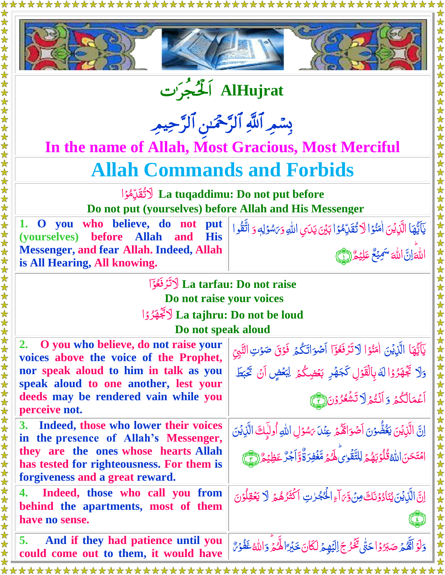



**AlHujrat**

بِسْمِرِ اللَّهِ الرَّحْمَٰنِ الرَّحِيمِ

**In the name of Allah, Most Gracious, Most Merciful**

# **Allah Commands and Forbids**

ا كَتُقَرِّمُو*ُ* La tuqaddimu: Do not put before <u>ز</u><br>۔ **لَ Do not put (yourselves) before Allah and His Messenger**

**1. O you who believe, do not put (yourselves) before Allah and His Messenger, and fear Allah. Indeed, Allah is All Hearing, All knowing.**

يَآيَّهَا الَّذِيْنَ اٰمَنُوۡ اللَّا تُقَرِّمُوۡ اٰ بَيۡنَ يَدَىِ اللّٰهِ وَ٢َسُوۡلِهٖ نا<br>پا ֦֧֦֧֦֡֘֘֝׆<br>֧֪֘ j  $\tilde{\zeta}$ <u>أ</u> ر<br>ا <u>أ</u> **لَ** ب ل <u>أ</u> **شا** بَ<sup>س</sup>ُوۡلِهٖ وَ اتَّقُوا j



لَّا تَرَ**نَغُوَ** La tarfau: Do not raise <u>ز</u> <u>وَ</u> ر<br>ُ **Do not raise your voices** <u>ُ</u>

#### ل**َكَجُّهَرُوۡاEa tajhru: Do not be loud** ر<br>ر **Do not speak aloud**

| DU nui spean aiuuu                                                                |                                                                                                 |
|-----------------------------------------------------------------------------------|-------------------------------------------------------------------------------------------------|
| 2. O you who believe, do not raise your<br>voices above the voice of the Prophet, | يَآَيُّهَا الَّذِيْنَ اٰمَنُوْا لَاتَرُفَعُوۡٓا اَصۡوَاتَكُمۡ فَوۡقَ صَوۡتِ التَّبِيِّ          |
| nor speak aloud to him in talk as you                                             | وَلَا تَجْهَرُوْا لَهُ بِالْقَوْلِ كَجَهْرِ بَعْضِكُمْ لِبَعْضٍ أَنْ تَخْبَطَ                   |
| speak aloud to one another, lest your<br>deeds may be rendered vain while you     | أَعْمَالُكُمْ وَأَنۡتُمۡلَا تَشۡعُرُوۡنَ(لَمۡمَعَ                                               |
| perceive not.                                                                     |                                                                                                 |
| 3. Indeed, those who lower their voices<br>in the presence of Allah's Messenger,  | اِنَّ الَّذِيْنَ يَغُضُّوۡنَ اَصۡوَاٰتَّکُمۡ عِنۡلَ يَسُوۡلِ اللّٰهِ أُولَٰٓبِكَ الَّذِيۡنَ     |
| they are the ones whose hearts Allah                                              | امۡتَحَنَ اللَّهُ قُلُوۡبَهُمۡ لِلتَّقۡوٰىَٰلِهُمۡ مَّغۡفِرَنَّهَۚ ۚ اَجۡرٌ عَظِیۡمٌ ((٣)       |
| has tested for righteousness. For them is<br>forgiveness and a great reward.      |                                                                                                 |
| 4. Indeed, those who call you from                                                | اِنَّ الَّذِيْنَ يُنَادُوْنَكَ مِنْ وَّىَ آءِ الْحُجُرٰتِ أَكْثَرُهُمْ لَا يَعْقِلُوْنَ         |
| behind the apartments, most of them<br>have no sense.                             |                                                                                                 |
| And if they had patience until you<br>5.<br>could come out to them, it would have | دَلَوْ أَهُّمُ صَبَرُوْاحَتّٰى تَخُرُجَ اِلَّيْهِمُ لَكَانَ خَيْرًا لِّمُمَّ وَاللّٰهُ غَفُوۡهٌ |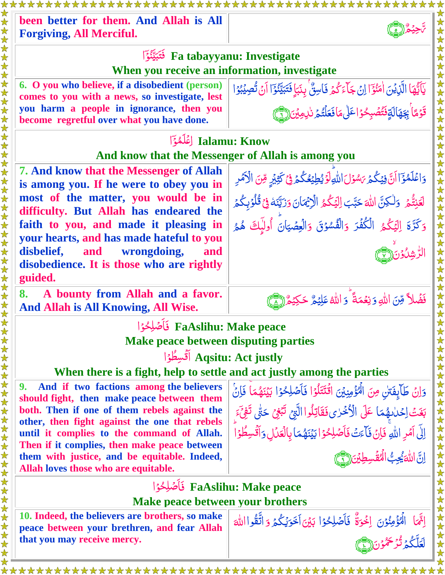| been better for them. And Allah is All<br><b>Forgiving, All Merciful.</b>                                                                                                                                                                                                                                                                                                          |                                                                                                                                                                                                                                                                                                                                                                    |  |
|------------------------------------------------------------------------------------------------------------------------------------------------------------------------------------------------------------------------------------------------------------------------------------------------------------------------------------------------------------------------------------|--------------------------------------------------------------------------------------------------------------------------------------------------------------------------------------------------------------------------------------------------------------------------------------------------------------------------------------------------------------------|--|
| Fa tabayyanu: Investigate<br>When you receive an information, investigate                                                                                                                                                                                                                                                                                                          |                                                                                                                                                                                                                                                                                                                                                                    |  |
| 6. O you who believe, if a disobedient (person)<br>comes to you with a news, so investigate, lest<br>you harm a people in ignorance, then you<br>become regretful over what you have done.                                                                                                                                                                                         | يَآَيُّهَا الَّذِيْنَ اٰمَنُوۡٓٓٓا اِنۡ جَآءَكُمۡ فَاسِنٌۢ بِنَبَإ فَتَبَيَّنُوۡٓٓٓا اَنۡ تُصِيۡبُوۡا<br>قَوْمًا بِجَهَالَةِفَتُصُبِحْوْاعَلَى مَافَعَلْتُمْ نَامِينَ (٢)                                                                                                                                                                                          |  |
| Jalamu: Know [غَلَمُوَ<br>And know that the Messenger of Allah is among you                                                                                                                                                                                                                                                                                                        |                                                                                                                                                                                                                                                                                                                                                                    |  |
| <b>7. And know that the Messenger of Allah</b><br>is among you. If he were to obey you in<br>most of the matter, you would be in<br>difficulty. But Allah has endeared the<br>faith to you, and made it pleasing in<br>your hearts, and has made hateful to you<br>disbelief,<br>wrongdoing,<br>and<br>and<br>disobedience. It is those who are rightly<br>guided.                 | (女女女女女女女女女女女女女女女女女女女女女女女女女<br>وَاعْلَمُوَٓالَنَّ فِيُكُمۡ مَسُوۡلَ اللَّهِ لَوۡ يُطِيۡعُكُمۡ فِيۡ كَثِيۡبِهِ مِّنَ الْآمَرِ<br>لَعَنِتُّمَ وَلٰكِنَّ اللَّهَ حَبَّبَ اِلْيَكُمُ الْإِيْمَانَ وَزَيَّنَهُ فِي قُلُوۡبِكُمَ<br>وَكَرَّةَ إِلَيْكُمُ الْكُفُرَ وَالْفُسُوْقَ وَالْعِصْيَانَ أُولَٰإِكَ هُمُ                                                           |  |
| A bounty from Allah and a favor.<br>8.<br>And Allah is All Knowing, All Wise.                                                                                                                                                                                                                                                                                                      | فَضُلاً مِّنَ اللَّهِ وَنِعُمَةً ۚ وَ اللَّهُ عَلِيۡمٌ حَكِيۡمٌ إِنَّ                                                                                                                                                                                                                                                                                              |  |
| FaAslihu: Make peace فَأَصْلِحُوْا<br><b>Make peace between disputing parties</b><br>Agsitu: Act justly أَقْسِطُوُا<br>When there is a fight, help to settle and act justly among the parties                                                                                                                                                                                      |                                                                                                                                                                                                                                                                                                                                                                    |  |
| And if two factions among the believers<br>9.<br>should fight, then make peace between them<br>both. Then if one of them rebels against the<br>other, then fight against the one that rebels<br>until it complies to the command of Allah.<br>Then if it complies, then make peace between<br>them with justice, and be equitable. Indeed,<br>Allah loves those who are equitable. | <b>《女女女女女女女女女女女女女女女女女女女女女女女女女女女女女女女</b><br>وَإِنْ طَآيِفَتِنِ مِنَ الْمُؤْمِنِينَ اقْتَتَلُوْا فَأَصْلِحُوْا بَيْنَهُمَا فَإِنْ<br>بَغَتُ اِحْدَاهِهُمَا عَلَى الْأَخْرَى فَقَاتِلُوا الَّتِي تَبْغِيَ حَتَّى تَفِيَّءَ<br>إِلَى آَمَرِ اللَّهِ فَإِنْ فَأَءَتُ فَأَصْلِحُوۡ ا بَيۡنَهُمَاۢ بِالۡعَدۡلِ وَأَقۡسِطُوۡ ا<br>اِنَّ اللَّهَ يُحِبُّ الْمُقَسِطِينَ (آَ |  |
| FaAslihu: Make peace فَأَصْلِحُوْا<br>Make peace between your brothers                                                                                                                                                                                                                                                                                                             |                                                                                                                                                                                                                                                                                                                                                                    |  |
| 10. Indeed, the believers are brothers, so make<br>peace between your brethren, and fear Allah<br>that you may receive mercy.                                                                                                                                                                                                                                                      | إِنَّمَا ۖ الْمُؤْمِنُوۡنَ ۚ إِخُوَةٌ ۚ فَأَصۡلِحُوۡا بَيۡنَ أَخَوَيۡكُمۡ وَ اتَّقُوااللَّهَ<br>اءَلَّكُمْ تُرْحَمُّوْنَ لِ                                                                                                                                                                                                                                        |  |

\*\*\*\*\*\*\*\*\*\*\*\*\*\*\*\*\*\*\*\*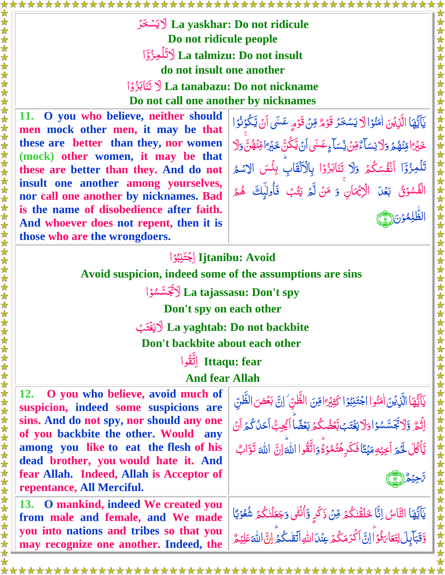La yaskhar: Do not ridicule لاَيَسْخَرُ Do not ridicule people La talmizu: Do not insult لَاتَلُمِزُ؟َ do not insult one another La tanabazu: Do not nickname أَنَّ تَنَاكُدُوْا Do not call one another by nicknames

O you who believe, neither should men mock other men, it may be that these are better than they, nor women (mock) other women, it may be that these are better than they. And do not insult one another among vourselves, nor call one another by nicknames. Bad is the name of disobedience after faith. And whoever does not repent, then it is those who are the wrongdoers.

يَآَيَّهَا الَّذِيْنَ اٰمَنُوۡ الَّا يَسۡخَرُ قَوۡمٌ مِّنۡ قَوۡمِ عَسَى أَنۡ يَّكُوۡنُوۡ ا *ڂ*ۘڹ<sub>ٛ</sub>ٵۊؚڹۘٙۿ۠ؽ<sub>ۘ</sub> وؘڶاێڛؘٵ<sup>ۜ</sup>ۦ۠۠ۊڹۣۨڐڛٲۦٟٸؘڛٙ؋ڹ۩ۑۜڴڹۜڂڹ<sub>ۘڐ</sub>ٵۊڹؙۿڹۜٞۅؘڶ تَلْمِزُوۡٓا اَنۡقُسَكُمۡ وَلَا بِتَابَزُوۡا بِالۡاَلۡقَابِۙ بِئۡسَ الِاسۡمُ الْفُسُوۡقُ بَعۡلَ الۡاِیۡمَانِ ۚ وَ مَنۡ لَّہُ یَتُبۡ فَأُولَٰٓبِكَ هُمُر

### litanibu: Avoid اجْتَنِبُوُ | Avoid suspicion, indeed some of the assumptions are sins

La tajassasu: Don't spy لِأَنْجَسَّسُوُا

Don't spy on each other

La yaghtab: Do not backbite لايَغْتَبْ Don't backbite about each other

Ittaqu: fear إِتَّقُوا

**And fear Allah** 

O you who believe, avoid much of suspicion, indeed some suspicions are sins. And do not spy, nor should any one of you backbite the other. Would any among you like to eat the flesh of his dead brother, you would hate it. And fear Allah. Indeed, Allah is Acceptor of repentance, All Merciful.

13. O mankind, indeed We created you from male and female, and We made you into nations and tribes so that you may recognize one another. Indeed, the يَآَيُّهَا الَّذِيۡنَ اٰمَنُوا اجۡتَنِبُوۡا كَثِيۡرَ ۚا هِنَ الظَّنِّ ۚ اِنَّ بَعۡضَ الظَّنِّ<br>اِثۡمُّ وَّلَاتَجَسَّسُوۡ اوَلَا يَغۡتَبۡ بَّعۡضُكُمۡ بَعۡضًا اَيُحِبُّ اَحَلُٰ كُمۡ اَنۡ يَّأْكُلَ لَحَمَ اَخِيْهِمَيْتًا فَكَرِهُتُمُوۡ وَۗ وَاتَّقُوا اللَّهَ إِنَّ اللَّهَ تَوَّابٌ



女女女女女女女女女女女女

يَاَيُّهَا النَّاسُ إِنَّا خَلَقْنٰكُمْ مِّنۡ ذَكَرٍ وَّأُنۡثٰى وَجَعَلۡنٰكُمۡ شُعُوۡبَا وَّقَبَابِلَ لِتَعَاءَفُوۡالِنَّ اَكۡدَمَكُمۡ عِنۡدَاللّٰهِ اَتَقۡلَكُمۡ لِنَّ اللّٰهَ عَلِيۡمُّ